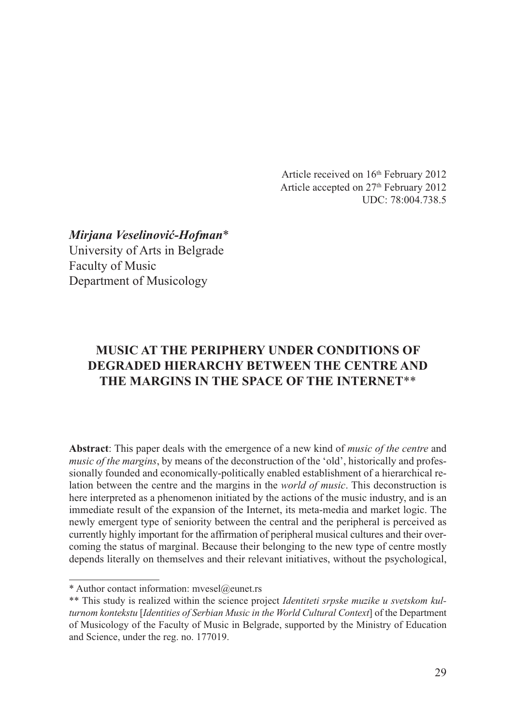Article received on 16<sup>th</sup> February 2012 Article accepted on 27<sup>th</sup> February 2012 UDC: 78:004.738.5

*Mirjana Veselinović-Hofman*\* University of Arts in Belgrade Faculty of Music Department of Musicology

# **MUSIC AT THE PERIPHERY UNDER CONDITIONS OF DEGRADED HIERARCHY BETWEEN THE CENTRE AND THE MARGINS IN THE SPACE OF THE INTERNET**\*\*

**Abstract**: This paper deals with the emergence of a new kind of *music of the centre* and *music of the margins*, by means of the deconstruction of the 'old', historically and professionally founded and economically-politically enabled establishment of a hierarchical relation between the centre and the margins in the *world of music*. This deconstruction is here interpreted as a phenomenon initiated by the actions of the music industry, and is an immediate result of the expansion of the Internet, its meta-media and market logic. The newly emergent type of seniority between the central and the peripheral is perceived as currently highly important for the affirmation of peripheral musical cultures and their overcoming the status of marginal. Because their belonging to the new type of centre mostly depends literally on themselves and their relevant initiatives, without the psychological,

<sup>\*</sup> Author contact information: mvesel@eunet.rs

<sup>\*\*</sup> This study is realized within the science project *Identiteti srpske muzike u svetskom kulturnom kontekstu* [*Identities of Serbian Music in the World Cultural Context*] of the Department of Musicology of the Faculty of Music in Belgrade, supported by the Ministry of Education and Science, under the reg. no. 177019.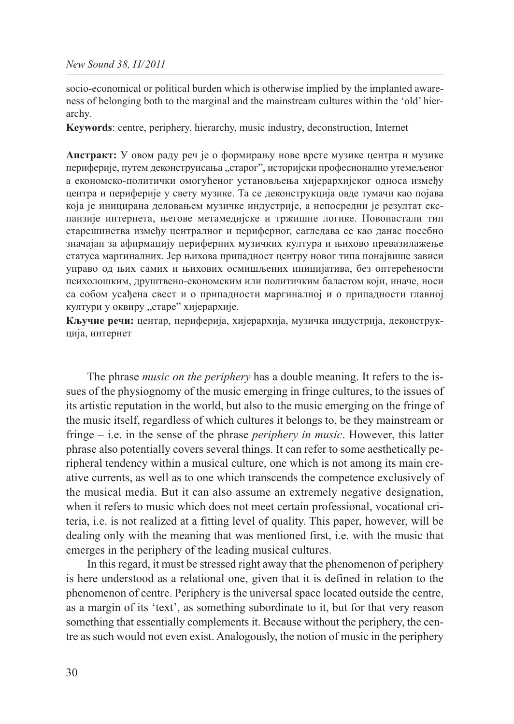socio-economical or political burden which is otherwise implied by the implanted awareness of belonging both to the marginal and the mainstream cultures within the 'old' hierarchy.

**Keywords**: centre, periphery, hierarchy, music industry, deconstruction, Internet

**Апстракт:** У овом раду реч је о формирању нове врсте музике центра и музике периферије, путем деконструисања "старог", историјски професионално утемељеног а економско-политички омогућеног установљења хијерархијског односа између центра и периферије у свету музике. Та се деконструкција овде тумачи као појава која је иницирана деловањем музичке индустрије, а непосредни је резултат експанзије интернета, његове метамедијске и тржишне логике. Новонастали тип старешинства између централног и периферног, сагледава се као данас посебно значајан за афирмацију периферних музичких култура и њихово превазилажење статуса маргиналних. Јер њихова припадност центру новог типа понајвише зависи управо од њих самих и њихових осмишљених иницијатива, без оптерећености психолошким, друштвено-економским или политичким баластом који, иначе, носи са собом усађена свест и о припадности маргиналној и о припадности главној култури у оквиру "старе" хијерархије.

**Кључне речи:** центар, периферија, хијерархија, музичка индустрија, деконструк ција, интернет

The phrase *music on the periphery* has a double meaning. It refers to the issues of the physiognomy of the music emerging in fringe cultures, to the issues of its artistic reputation in the world, but also to the music emerging on the fringe of the music itself, regardless of which cultures it belongs to, be they mainstream or fringe – i.e. in the sense of the phrase *periphery in music*. However, this latter phrase also potentially covers several things. It can refer to some aesthetically peripheral tendency within a musical culture, one which is not among its main creative currents, as well as to one which transcends the competence exclusively of the musical media. But it can also assume an extremely negative designation, when it refers to music which does not meet certain professional, vocational criteria, i.e. is not realized at a fitting level of quality. This paper, however, will be dealing only with the meaning that was mentioned first, i.e. with the music that emerges in the periphery of the leading musical cultures.

In this regard, it must be stressed right away that the phenomenon of periphery is here understood as a relational one, given that it is defined in relation to the phenomenon of centre. Periphery is the universal space located outside the centre, as a margin of its 'text', as something subordinate to it, but for that very reason something that essentially complements it. Because without the periphery, the centre as such would not even exist. Analogously, the notion of music in the periphery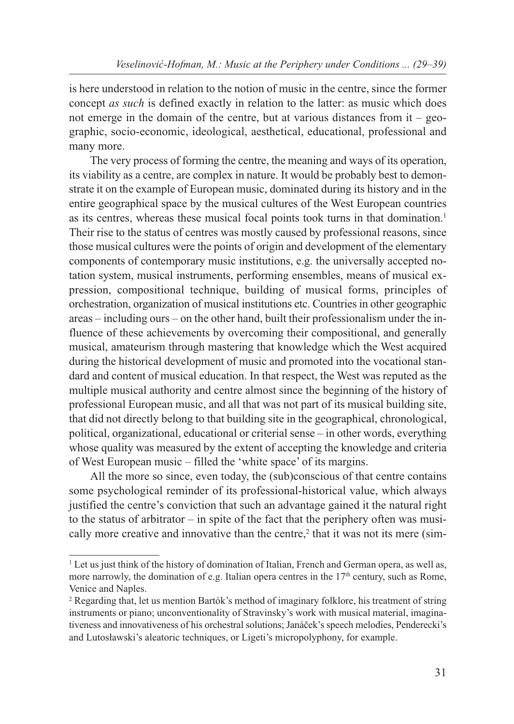is here understood in relation to the notion of music in the centre, since the former concept *as such* is defined exactly in relation to the latter: as music which does not emerge in the domain of the centre, but at various distances from  $it - geo$ graphic, socio-economic, ideological, aesthetical, educational, professional and many more.

The very process of forming the centre, the meaning and ways of its operation, its viability as a centre, are complex in nature. It would be probably best to demonstrate it on the example of European music, dominated during its history and in the entire geographical space by the musical cultures of the West European countries as its centres, whereas these musical focal points took turns in that domination.1 Their rise to the status of centres was mostly caused by professional reasons, since those musical cultures were the points of origin and development of the elementary components of contemporary music institutions, e.g. the universally accepted notation system, musical instruments, performing ensembles, means of musical expression, compositional technique, building of musical forms, principles of orchestration, organization of musical institutions etc. Countries in other geographic areas – including ours – on the other hand, built their professionalism under the influence of these achievements by overcoming their compositional, and generally musical, amateurism through mastering that knowledge which the West acquired during the historical development of music and promoted into the vocational standard and content of musical education. In that respect, the West was reputed as the multiple musical authority and centre almost since the beginning of the history of professional European music, and all that was not part of its musical building site, that did not directly belong to that building site in the geographical, chronological, political, organizational, educational or criterial sense – in other words, everything whose quality was measured by the extent of accepting the knowledge and criteria of West European music – filled the 'white space' of its margins.

All the more so since, even today, the (sub)conscious of that centre contains some psychological reminder of its professional-historical value, which always justified the centre's conviction that such an advantage gained it the natural right to the status of arbitrator – in spite of the fact that the periphery often was musically more creative and innovative than the centre, $<sup>2</sup>$  that it was not its mere (sim-</sup>

<sup>&</sup>lt;sup>1</sup> Let us just think of the history of domination of Italian, French and German opera, as well as, more narrowly, the domination of e.g. Italian opera centres in the  $17<sup>th</sup>$  century, such as Rome, Venice and Naples.

<sup>2</sup> Regarding that, let us mention Bartók's method of imaginary folklore, his treatment of string instruments or piano; unconventionality of Stravinsky's work with musical material, imaginativeness and innovativeness of his orchestral solutions; Janáček's speech melodies, Penderecki's and Lutosławski's aleatoric techniques, or Ligeti's micropolyphony, for example.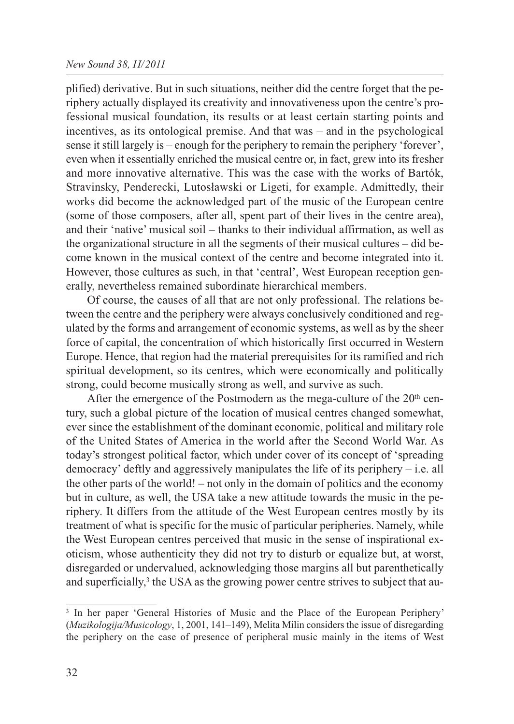plified) derivative. But in such situations, neither did the centre forget that the periphery actually displayed its creativity and innovativeness upon the centre's professional musical foundation, its results or at least certain starting points and incentives, as its ontological premise. And that was – and in the psychological sense it still largely is – enough for the periphery to remain the periphery 'forever', even when it essentially enriched the musical centre or, in fact, grew into its fresher and more innovative alternative. This was the case with the works of Bartók, Stravinsky, Penderecki, Lutosławski or Ligeti, for example. Admittedly, their works did become the acknowledged part of the music of the European centre (some of those composers, after all, spent part of their lives in the centre area), and their 'native' musical soil – thanks to their individual affirmation, as well as the organizational structure in all the segments of their musical cultures – did become known in the musical context of the centre and become integrated into it. However, those cultures as such, in that 'central', West European reception generally, nevertheless remained subordinate hierarchical members.

Of course, the causes of all that are not only professional. The relations between the centre and the periphery were always conclusively conditioned and regulated by the forms and arrangement of economic systems, as well as by the sheer force of capital, the concentration of which historically first occurred in Western Europe. Hence, that region had the material prerequisites for its ramified and rich spiritual development, so its centres, which were economically and politically strong, could become musically strong as well, and survive as such.

After the emergence of the Postmodern as the mega-culture of the  $20<sup>th</sup>$  century, such a global picture of the location of musical centres changed somewhat, ever since the establishment of the dominant economic, political and military role of the United States of America in the world after the Second World War. As today's strongest political factor, which under cover of its concept of 'spreading democracy' deftly and aggressively manipulates the life of its periphery – i.e. all the other parts of the world! – not only in the domain of politics and the economy but in culture, as well, the USA take a new attitude towards the music in the periphery. It differs from the attitude of the West European centres mostly by its treatment of what is specific for the music of particular peripheries. Namely, while the West European centres perceived that music in the sense of inspirational exoticism, whose authenticity they did not try to disturb or equalize but, at worst, disregarded or undervalued, acknowledging those margins all but parenthetically and superficially,<sup>3</sup> the USA as the growing power centre strives to subject that au-

<sup>&</sup>lt;sup>3</sup> In her paper 'General Histories of Music and the Place of the European Periphery' (*Muzikologija/Musicology*, 1, 2001, 141–149), Melita Milin considers the issue of disregarding the periphery on the case of presence of peripheral music mainly in the items of West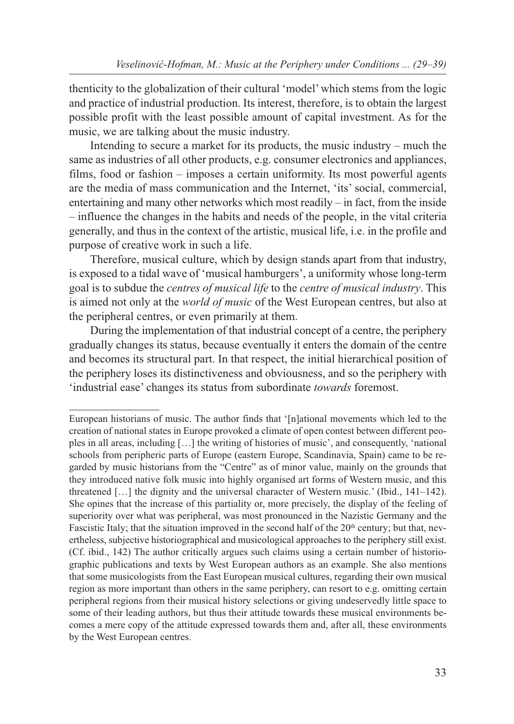thenticity to the globalization of their cultural 'model' which stems from the logic and practice of industrial production. Its interest, therefore, is to obtain the largest possible profit with the least possible amount of capital investment. As for the music, we are talking about the music industry.

Intending to secure a market for its products, the music industry – much the same as industries of all other products, e.g. consumer electronics and appliances, films, food or fashion – imposes a certain uniformity. Its most powerful agents are the media of mass communication and the Internet, 'its' social, commercial, entertaining and many other networks which most readily – in fact, from the inside – influence the changes in the habits and needs of the people, in the vital criteria generally, and thus in the context of the artistic, musical life, i.e. in the profile and purpose of creative work in such a life.

Therefore, musical culture, which by design stands apart from that industry, is exposed to a tidal wave of 'musical hamburgers', a uniformity whose long-term goal is to subdue the *centres of musical life* to the *centre of musical industry*. This is aimed not only at the *world of music* of the West European centres, but also at the peripheral centres, or even primarily at them.

During the implementation of that industrial concept of a centre, the periphery gradually changes its status, because eventually it enters the domain of the centre and becomes its structural part. In that respect, the initial hierarchical position of the periphery loses its distinctiveness and obviousness, and so the periphery with 'industrial ease' changes its status from subordinate *towards* foremost.

European historians of music. The author finds that '[n]ational movements which led to the creation of national states in Europe provoked a climate of open contest between different peoples in all areas, including […] the writing of histories of music', and consequently, 'national schools from peripheric parts of Europe (eastern Europe, Scandinavia, Spain) came to be regarded by music historians from the "Centre" as of minor value, mainly on the grounds that they introduced native folk music into highly organised art forms of Western music, and this threatened […] the dignity and the universal character of Western music.' (Ibid., 141–142). She opines that the increase of this partiality or, more precisely, the display of the feeling of superiority over what was peripheral, was most pronounced in the Nazistic Germany and the Fascistic Italy; that the situation improved in the second half of the  $20<sup>th</sup>$  century; but that, nevertheless, subjective historiographical and musicological approaches to the periphery still exist. (Cf. ibid., 142) The author critically argues such claims using a certain number of historiographic publications and texts by West European authors as an example. She also mentions that some musicologists from the East European musical cultures, regarding their own musical region as more important than others in the same periphery, can resort to e.g. omitting certain peripheral regions from their musical history selections or giving undeservedly little space to some of their leading authors, but thus their attitude towards these musical environments becomes a mere copy of the attitude expressed towards them and, after all, these environments by the West European centres.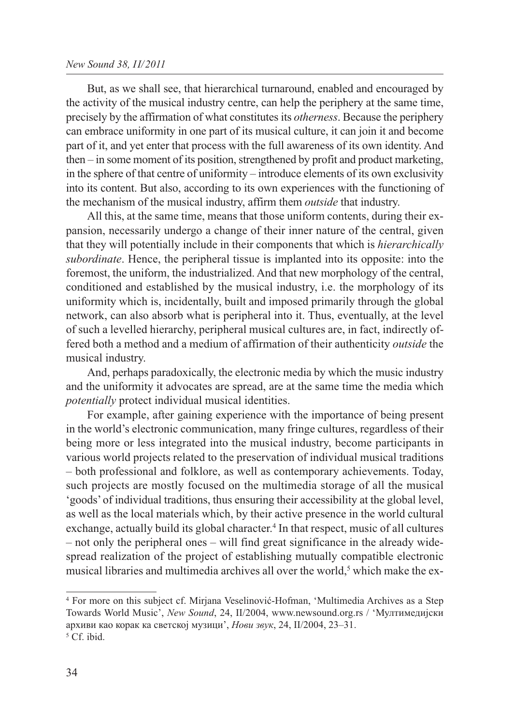But, as we shall see, that hierarchical turnaround, enabled and encouraged by the activity of the musical industry centre, can help the periphery at the same time, precisely by the affirmation of what constitutes its *otherness*. Because the periphery can embrace uniformity in one part of its musical culture, it can join it and become part of it, and yet enter that process with the full awareness of its own identity. And then – in some moment of its position, strengthened by profit and product marketing, in the sphere of that centre of uniformity – introduce elements of its own exclusivity into its content. But also, according to its own experiences with the functioning of the mechanism of the musical industry, affirm them *outside* that industry.

All this, at the same time, means that those uniform contents, during their expansion, necessarily undergo a change of their inner nature of the central, given that they will potentially include in their components that which is *hierarchically subordinate*. Hence, the peripheral tissue is implanted into its opposite: into the foremost, the uniform, the industrialized. And that new morphology of the central, conditioned and established by the musical industry, i.e. the morphology of its uniformity which is, incidentally, built and imposed primarily through the global network, can also absorb what is peripheral into it. Thus, eventually, at the level of such a levelled hierarchy, peripheral musical cultures are, in fact, indirectly offered both a method and a medium of affirmation of their authenticity *outside* the musical industry.

And, perhaps paradoxically, the electronic media by which the music industry and the uniformity it advocates are spread, are at the same time the media which *potentially* protect individual musical identities.

For example, after gaining experience with the importance of being present in the world's electronic communication, many fringe cultures, regardless of their being more or less integrated into the musical industry, become participants in various world projects related to the preservation of individual musical traditions – both professional and folklore, as well as contemporary achievements. Today, such projects are mostly focused on the multimedia storage of all the musical 'goods' of individual traditions, thus ensuring their accessibility at the global level, as well as the local materials which, by their active presence in the world cultural exchange, actually build its global character.<sup>4</sup> In that respect, music of all cultures – not only the peripheral ones – will find great significance in the already widespread realization of the project of establishing mutually compatible electronic musical libraries and multimedia archives all over the world,<sup>5</sup> which make the ex-

<sup>4</sup> For more on this subject cf. Mirjana Veselinović-Hofman, 'Multimedia Archives as a Step Towards World Music', *New Sound*, 24, II/2004, www.newsound.org.rs / 'Мултимедијски архиви као корак ка светској музици', *Нови звук*, 24, II/2004, 23–31. <sup>5</sup> Cf. ibid.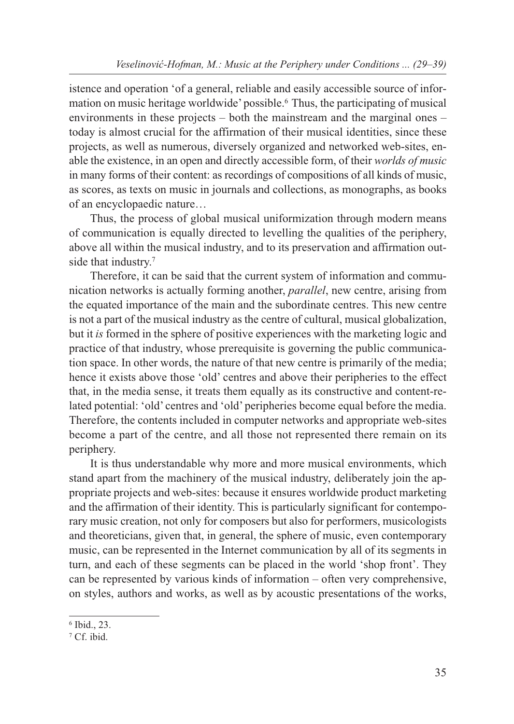istence and operation 'of a general, reliable and easily accessible source of information on music heritage worldwide' possible.6 Thus, the participating of musical environments in these projects – both the mainstream and the marginal ones – today is almost crucial for the affirmation of their musical identities, since these projects, as well as numerous, diversely organized and networked web-sites, enable the existence, in an open and directly accessible form, of their *worlds of music* in many forms of their content: as recordings of compositions of all kinds of music, as scores, as texts on music in journals and collections, as monographs, as books of an encyclopaedic nature…

Thus, the process of global musical uniformization through modern means of communication is equally directed to levelling the qualities of the periphery, above all within the musical industry, and to its preservation and affirmation outside that industry.7

Therefore, it can be said that the current system of information and communication networks is actually forming another, *parallel*, new centre, arising from the equated importance of the main and the subordinate centres. This new centre is not a part of the musical industry as the centre of cultural, musical globalization, but it *is* formed in the sphere of positive experiences with the marketing logic and practice of that industry, whose prerequisite is governing the public communication space. In other words, the nature of that new centre is primarily of the media; hence it exists above those 'old' centres and above their peripheries to the effect that, in the media sense, it treats them equally as its constructive and content-related potential: 'old' centres and 'old' peripheries become equal before the media. Therefore, the contents included in computer networks and appropriate web-sites become a part of the centre, and all those not represented there remain on its periphery.

It is thus understandable why more and more musical environments, which stand apart from the machinery of the musical industry, deliberately join the appropriate projects and web-sites: because it ensures worldwide product marketing and the affirmation of their identity. This is particularly significant for contemporary music creation, not only for composers but also for performers, musicologists and theoreticians, given that, in general, the sphere of music, even contemporary music, can be represented in the Internet communication by all of its segments in turn, and each of these segments can be placed in the world 'shop front'. They can be represented by various kinds of information – often very comprehensive, on styles, authors and works, as well as by acoustic presentations of the works,

<sup>6</sup> Ibid., 23.

<sup>7</sup> Cf. ibid.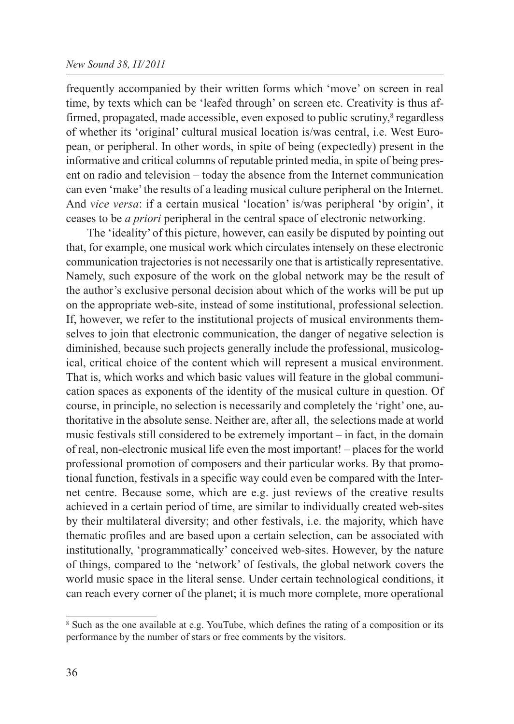frequently accompanied by their written forms which 'move' on screen in real time, by texts which can be 'leafed through' on screen etc. Creativity is thus affirmed, propagated, made accessible, even exposed to public scrutiny,<sup>8</sup> regardless of whether its 'original' cultural musical location is/was central, i.e. West European, or peripheral. In other words, in spite of being (expectedly) present in the informative and critical columns of reputable printed media, in spite of being present on radio and television – today the absence from the Internet communication can even 'make' the results of a leading musical culture peripheral on the Internet. And *vice versa*: if a certain musical 'location' is/was peripheral 'by origin', it ceases to be *a priori* peripheral in the central space of electronic networking.

The 'ideality' of this picture, however, can easily be disputed by pointing out that, for example, one musical work which circulates intensely on these electronic communication trajectories is not necessarily one that is artistically representative. Namely, such exposure of the work on the global network may be the result of the author's exclusive personal decision about which of the works will be put up on the appropriate web-site, instead of some institutional, professional selection. If, however, we refer to the institutional projects of musical environments themselves to join that electronic communication, the danger of negative selection is diminished, because such projects generally include the professional, musicological, critical choice of the content which will represent a musical environment. That is, which works and which basic values will feature in the global communication spaces as exponents of the identity of the musical culture in question. Of course, in principle, no selection is necessarily and completely the 'right' one, authoritative in the absolute sense. Neither are, after all, the selections made at world music festivals still considered to be extremely important – in fact, in the domain of real, non-electronic musical life even the most important! – places for the world professional promotion of composers and their particular works. By that promotional function, festivals in a specific way could even be compared with the Internet centre. Because some, which are e.g. just reviews of the creative results achieved in a certain period of time, are similar to individually created web-sites by their multilateral diversity; and other festivals, i.e. the majority, which have thematic profiles and are based upon a certain selection, can be associated with institutionally, 'programmatically' conceived web-sites. However, by the nature of things, compared to the 'network' of festivals, the global network covers the world music space in the literal sense. Under certain technological conditions, it can reach every corner of the planet; it is much more complete, more operational

<sup>8</sup> Such as the one available at e.g. YouTube, which defines the rating of a composition or its performance by the number of stars or free comments by the visitors.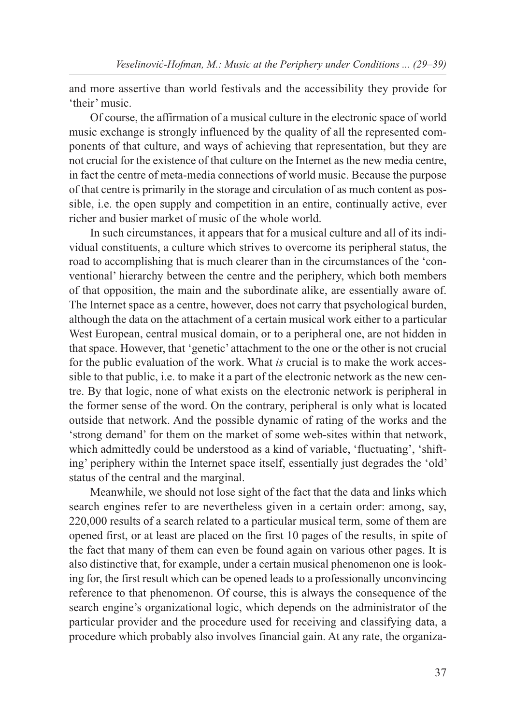and more assertive than world festivals and the accessibility they provide for 'their' music.

Of course, the affirmation of a musical culture in the electronic space of world music exchange is strongly influenced by the quality of all the represented components of that culture, and ways of achieving that representation, but they are not crucial for the existence of that culture on the Internet as the new media centre, in fact the centre of meta-media connections of world music. Because the purpose of that centre is primarily in the storage and circulation of as much content as possible, i.e. the open supply and competition in an entire, continually active, ever richer and busier market of music of the whole world.

In such circumstances, it appears that for a musical culture and all of its individual constituents, a culture which strives to overcome its peripheral status, the road to accomplishing that is much clearer than in the circumstances of the 'conventional' hierarchy between the centre and the periphery, which both members of that opposition, the main and the subordinate alike, are essentially aware of. The Internet space as a centre, however, does not carry that psychological burden, although the data on the attachment of a certain musical work either to a particular West European, central musical domain, or to a peripheral one, are not hidden in that space. However, that 'genetic' attachment to the one or the other is not crucial for the public evaluation of the work. What *is* crucial is to make the work accessible to that public, i.e. to make it a part of the electronic network as the new centre. By that logic, none of what exists on the electronic network is peripheral in the former sense of the word. On the contrary, peripheral is only what is located outside that network. And the possible dynamic of rating of the works and the 'strong demand' for them on the market of some web-sites within that network, which admittedly could be understood as a kind of variable, 'fluctuating', 'shifting' periphery within the Internet space itself, essentially just degrades the 'old' status of the central and the marginal.

Meanwhile, we should not lose sight of the fact that the data and links which search engines refer to are nevertheless given in a certain order: among, say, 220,000 results of a search related to a particular musical term, some of them are opened first, or at least are placed on the first 10 pages of the results, in spite of the fact that many of them can even be found again on various other pages. It is also distinctive that, for example, under a certain musical phenomenon one is looking for, the first result which can be opened leads to a professionally unconvincing reference to that phenomenon. Of course, this is always the consequence of the search engine's organizational logic, which depends on the administrator of the particular provider and the procedure used for receiving and classifying data, a procedure which probably also involves financial gain. At any rate, the organiza-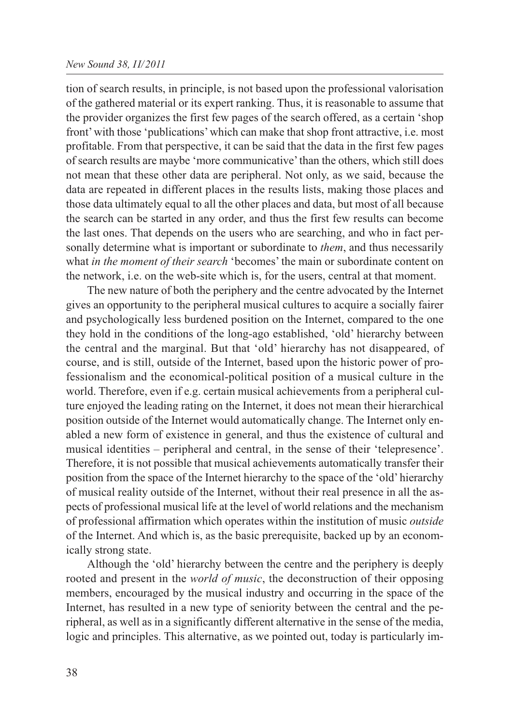tion of search results, in principle, is not based upon the professional valorisation of the gathered material or its expert ranking. Thus, it is reasonable to assume that the provider organizes the first few pages of the search offered, as a certain 'shop front' with those 'publications' which can make that shop front attractive, i.e. most profitable. From that perspective, it can be said that the data in the first few pages of search results are maybe 'more communicative' than the others, which still does not mean that these other data are peripheral. Not only, as we said, because the data are repeated in different places in the results lists, making those places and those data ultimately equal to all the other places and data, but most of all because the search can be started in any order, and thus the first few results can become the last ones. That depends on the users who are searching, and who in fact personally determine what is important or subordinate to *them*, and thus necessarily what *in the moment of their search* 'becomes' the main or subordinate content on the network, i.e. on the web-site which is, for the users, central at that moment.

The new nature of both the periphery and the centre advocated by the Internet gives an opportunity to the peripheral musical cultures to acquire a socially fairer and psychologically less burdened position on the Internet, compared to the one they hold in the conditions of the long-ago established, 'old' hierarchy between the central and the marginal. But that 'old' hierarchy has not disappeared, of course, and is still, outside of the Internet, based upon the historic power of professionalism and the economical-political position of a musical culture in the world. Therefore, even if e.g. certain musical achievements from a peripheral culture enjoyed the leading rating on the Internet, it does not mean their hierarchical position outside of the Internet would automatically change. The Internet only enabled a new form of existence in general, and thus the existence of cultural and musical identities – peripheral and central, in the sense of their 'telepresence'. Therefore, it is not possible that musical achievements automatically transfer their position from the space of the Internet hierarchy to the space of the 'old' hierarchy of musical reality outside of the Internet, without their real presence in all the aspects of professional musical life at the level of world relations and the mechanism of professional affirmation which operates within the institution of music *outside* of the Internet. And which is, as the basic prerequisite, backed up by an economically strong state.

Although the 'old' hierarchy between the centre and the periphery is deeply rooted and present in the *world of music*, the deconstruction of their opposing members, encouraged by the musical industry and occurring in the space of the Internet, has resulted in a new type of seniority between the central and the peripheral, as well as in a significantly different alternative in the sense of the media, logic and principles. This alternative, as we pointed out, today is particularly im